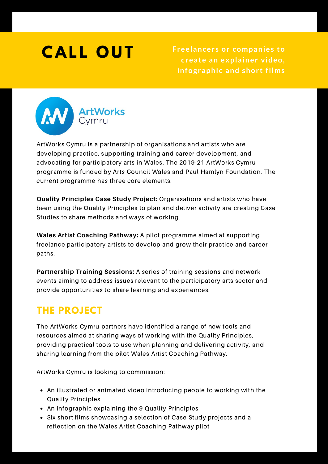# **C A L L O U T**

**Freelancer s or companies to create an explainer video, infographic and shor t films**



[ArtWorks](https://artworks.cymru/) Cymru is a partnership of organisations and artists who are developing practice, supporting training and career development, and advocating for participatory arts in Wales. The 2019-21 ArtWorks Cymru programme is funded by Arts Council Wales and Paul Hamlyn Foundation. The current programme has three core elements:

**Quality Principles Case Study Project:** Organisations and artists who have been using the Quality Principles to plan and deliver activity are creating Case Studies to share methods and ways of working.

**Wales Artist Coaching Pathway:** A pilot programme aimed at supporting freelance participatory artists to develop and grow their practice and career paths.

**Partnership Training Sessions:** A series of training sessions and network events aiming to address issues relevant to the participatory arts sector and provide opportunities to share learning and experiences.

## **THE PROJECT**

The ArtWorks Cymru partners have identified a range of new tools and resources aimed at sharing ways of working with the Quality Principles, providing practical tools to use when planning and delivering activity, and sharing learning from the pilot Wales Artist Coaching Pathway.

ArtWorks Cymru is looking to commission:

- An illustrated or animated video introducing people to working with the Quality Principles
- An infographic explaining the 9 Quality Principles
- Six short films showcasing a selection of Case Study projects and a reflection on the Wales Artist Coaching Pathway pilot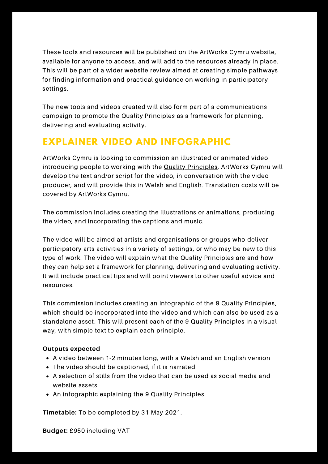These tools and resources will be published on the ArtWorks Cymru website, available for anyone to access, and will add to the resources already in place. This will be part of a wider website review aimed at creating simple pathways for finding information and practical guidance on working in participatory settings.

The new tools and videos created will also form part of a communications campaign to promote the Quality Principles as a framework for planning, delivering and evaluating activity.

## **EXPLAINER VIDEO AND INFOGRAPHIC**

ArtWorks Cymru is looking to commission an illustrated or animated video introducing people to working with the **Quality Principles**. ArtWorks Cymru will develop the text and/or script for the video, in conversation with the video producer, and will provide this in Welsh and English. Translation costs will be covered by ArtWorks Cymru.

The commission includes creating the illustrations or animations, producing the video, and incorporating the captions and music.

The video will be aimed at artists and organisations or groups who deliver participatory arts activities in a variety of settings, or who may be new to this type of work. The video will explain what the Quality Principles are and how they can help set a framework for planning, delivering and evaluating activity. It will include practical tips and will point viewers to other useful advice and resources.

This commission includes creating an infographic of the 9 Quality Principles, which should be incorporated into the video and which can also be used as a standalone asset. This will present each of the 9 Quality Principles in a visual way, with simple text to explain each principle.

### **Outputs expected**

- A video between 1-2 minutes long, with a Welsh and an English version
- The video should be captioned, if it is narrated
- A selection of stills from the video that can be used as social media and website assets
- An infographic explaining the 9 Quality Principles

**Timetable:** To be completed by 31 May 2021.

## **Budget:** £950 including VAT